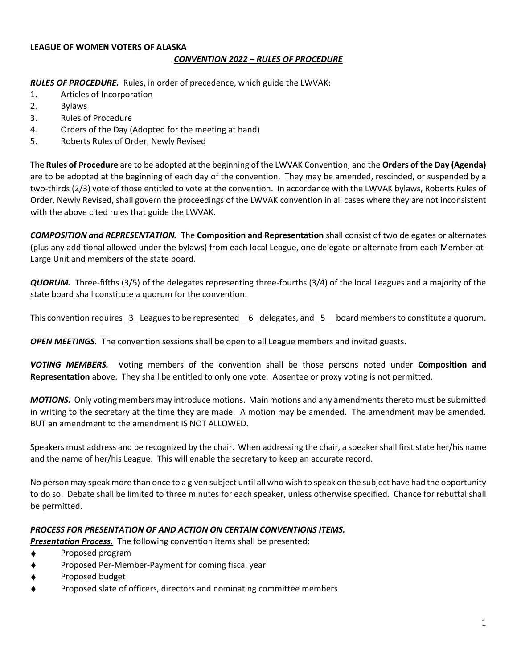## **LEAGUE OF WOMEN VOTERS OF ALASKA** *CONVENTION 2022 – RULES OF PROCEDURE*

*RULES OF PROCEDURE.* Rules, in order of precedence, which guide the LWVAK:

- 1. Articles of Incorporation
- 2. Bylaws
- 3. Rules of Procedure
- 4. Orders of the Day (Adopted for the meeting at hand)
- 5. Roberts Rules of Order, Newly Revised

The **Rules of Procedure** are to be adopted at the beginning of the LWVAK Convention, and the **Orders of the Day (Agenda)**  are to be adopted at the beginning of each day of the convention. They may be amended, rescinded, or suspended by a two-thirds (2/3) vote of those entitled to vote at the convention. In accordance with the LWVAK bylaws, Roberts Rules of Order, Newly Revised, shall govern the proceedings of the LWVAK convention in all cases where they are not inconsistent with the above cited rules that guide the LWVAK.

*COMPOSITION and REPRESENTATION.* The **Composition and Representation** shall consist of two delegates or alternates (plus any additional allowed under the bylaws) from each local League, one delegate or alternate from each Member-at-Large Unit and members of the state board.

*QUORUM.* Three-fifths (3/5) of the delegates representing three-fourths (3/4) of the local Leagues and a majority of the state board shall constitute a quorum for the convention.

This convention requires 3 Leagues to be represented 6 delegates, and 5 board members to constitute a quorum.

*OPEN MEETINGS.* The convention sessions shall be open to all League members and invited guests.

*VOTING MEMBERS.* Voting members of the convention shall be those persons noted under **Composition and Representation** above. They shall be entitled to only one vote. Absentee or proxy voting is not permitted.

*MOTIONS.* Only voting members may introduce motions. Main motions and any amendments thereto must be submitted in writing to the secretary at the time they are made. A motion may be amended. The amendment may be amended. BUT an amendment to the amendment IS NOT ALLOWED.

Speakers must address and be recognized by the chair. When addressing the chair, a speaker shall first state her/his name and the name of her/his League. This will enable the secretary to keep an accurate record.

No person may speak more than once to a given subject until all who wish to speak on the subject have had the opportunity to do so. Debate shall be limited to three minutes for each speaker, unless otherwise specified. Chance for rebuttal shall be permitted.

## *PROCESS FOR PRESENTATION OF AND ACTION ON CERTAIN CONVENTIONS ITEMS.*

*Presentation Process.* The following convention items shall be presented:

- ♦ Proposed program
- ♦ Proposed Per-Member-Payment for coming fiscal year
- ♦ Proposed budget
- ♦ Proposed slate of officers, directors and nominating committee members